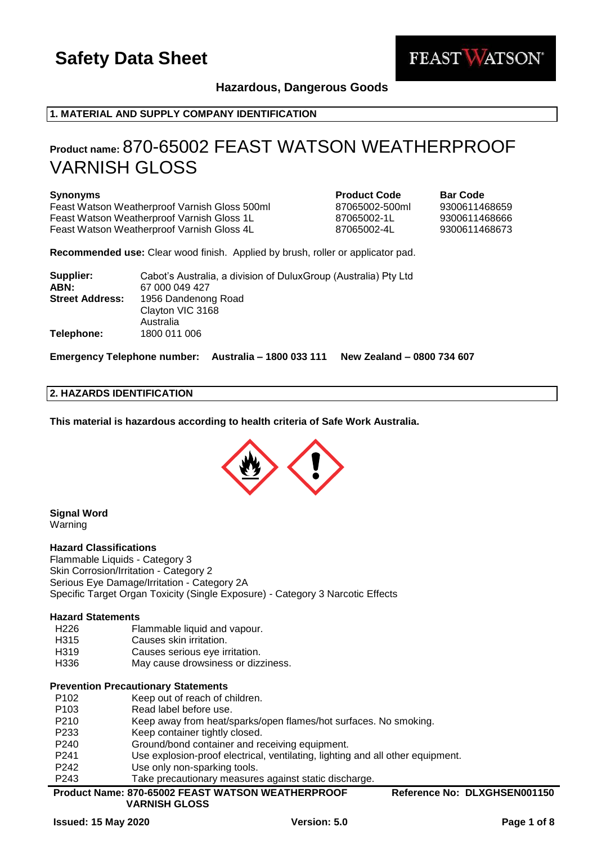

## **Hazardous, Dangerous Goods**

## **1. MATERIAL AND SUPPLY COMPANY IDENTIFICATION**

## **Product name:** 870-65002 FEAST WATSON WEATHERPROOF VARNISH GLOSS

#### **Synonyms Product Code Bar Code**

Feast Watson Weatherproof Varnish Gloss 500ml 87065002-500ml 9300611468659 Feast Watson Weatherproof Varnish Gloss 1L 87065002-1L 9300611468666 Feast Watson Weatherproof Varnish Gloss 4L 87065002-4L 9300611468673

**Recommended use:** Clear wood finish. Applied by brush, roller or applicator pad.

| Supplier:              | Cabot's Australia, a division of DuluxGroup (Australia) Pty Ltd |
|------------------------|-----------------------------------------------------------------|
| ABN:                   | 67 000 049 427                                                  |
| <b>Street Address:</b> | 1956 Dandenong Road                                             |
|                        | Clayton VIC 3168                                                |
|                        | Australia                                                       |
| Telephone:             | 1800 011 006                                                    |

**Emergency Telephone number: Australia – 1800 033 111 New Zealand – 0800 734 607**

#### **2. HAZARDS IDENTIFICATION**

**This material is hazardous according to health criteria of Safe Work Australia.**



## **Signal Word**

Warning

#### **Hazard Classifications**

Flammable Liquids - Category 3 Skin Corrosion/Irritation - Category 2 Serious Eye Damage/Irritation - Category 2A Specific Target Organ Toxicity (Single Exposure) - Category 3 Narcotic Effects

#### **Hazard Statements**

- H226 Flammable liquid and vapour.
- H315 Causes skin irritation.
- H319 Causes serious eye irritation.
- H336 May cause drowsiness or dizziness.

#### **Prevention Precautionary Statements**

- P102 Keep out of reach of children.
- P103 Read label before use.
- P210 Keep away from heat/sparks/open flames/hot surfaces. No smoking.
- P233 Keep container tightly closed.
- P240 Ground/bond container and receiving equipment.
- P241 Use explosion-proof electrical, ventilating, lighting and all other equipment.
- P242 Use only non-sparking tools.
- P243 Take precautionary measures against static discharge.

| <b>Product Name: 870-65002 FEAST WATSON WEATHERPROOF</b> | Reference No: DLXGHSEN001150 |
|----------------------------------------------------------|------------------------------|
|                                                          |                              |

**VARNISH GLOSS**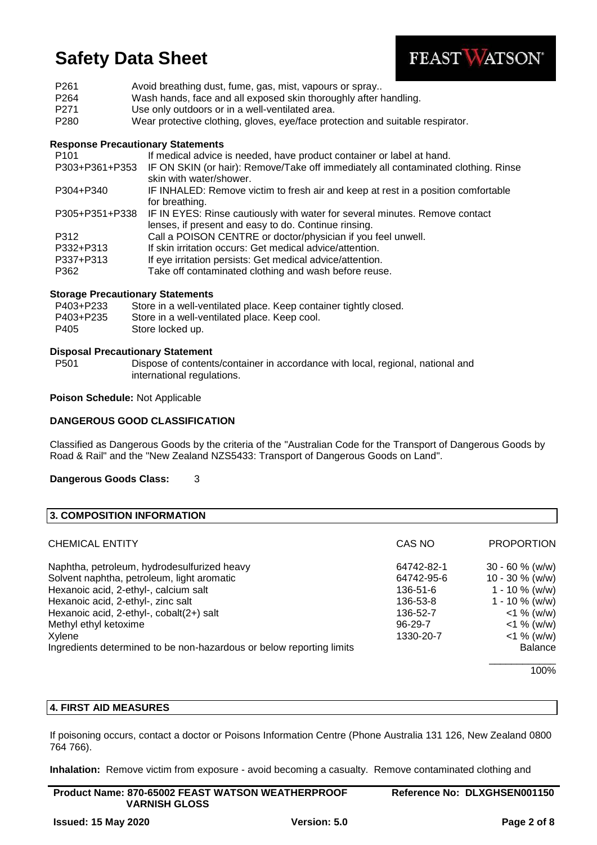

| P <sub>261</sub> | Avoid breathing dust, fume, gas, mist, vapours or spray                        |
|------------------|--------------------------------------------------------------------------------|
| P <sub>264</sub> | Wash hands, face and all exposed skin thoroughly after handling.               |
| P <sub>271</sub> | Use only outdoors or in a well-ventilated area.                                |
| P <sub>280</sub> | Wear protective clothing, gloves, eye/face protection and suitable respirator. |

### **Response Precautionary Statements**

| P <sub>101</sub> | If medical advice is needed, have product container or label at hand.                                                               |
|------------------|-------------------------------------------------------------------------------------------------------------------------------------|
| P303+P361+P353   | IF ON SKIN (or hair): Remove/Take off immediately all contaminated clothing. Rinse<br>skin with water/shower.                       |
| P304+P340        | IF INHALED: Remove victim to fresh air and keep at rest in a position comfortable<br>for breathing.                                 |
| P305+P351+P338   | IF IN EYES: Rinse cautiously with water for several minutes. Remove contact<br>lenses, if present and easy to do. Continue rinsing. |
| P312             | Call a POISON CENTRE or doctor/physician if you feel unwell.                                                                        |
| P332+P313        | If skin irritation occurs: Get medical advice/attention.                                                                            |
| P337+P313        | If eye irritation persists: Get medical advice/attention.                                                                           |
| P362             | Take off contaminated clothing and wash before reuse.                                                                               |

## **Storage Precautionary Statements**

| P403+P233 | Store in a well-ventilated place. Keep container tightly closed. |
|-----------|------------------------------------------------------------------|
| P403+P235 | Store in a well-ventilated place. Keep cool.                     |
| P405      | Store locked up.                                                 |

#### **Disposal Precautionary Statement**

P501 Dispose of contents/container in accordance with local, regional, national and international regulations.

**Poison Schedule:** Not Applicable

### **DANGEROUS GOOD CLASSIFICATION**

Classified as Dangerous Goods by the criteria of the "Australian Code for the Transport of Dangerous Goods by Road & Rail" and the "New Zealand NZS5433: Transport of Dangerous Goods on Land".

**Dangerous Goods Class:** 3

| <b>3. COMPOSITION INFORMATION</b>                                    |               |                    |
|----------------------------------------------------------------------|---------------|--------------------|
| CHEMICAL ENTITY                                                      | CAS NO        | <b>PROPORTION</b>  |
| Naphtha, petroleum, hydrodesulfurized heavy                          | 64742-82-1    | $30 - 60 \%$ (w/w) |
| Solvent naphtha, petroleum, light aromatic                           | 64742-95-6    | $10 - 30 \%$ (w/w) |
| Hexanoic acid, 2-ethyl-, calcium salt                                | 136-51-6      | $1 - 10 \%$ (w/w)  |
| Hexanoic acid, 2-ethyl-, zinc salt                                   | 136-53-8      | $1 - 10 \%$ (w/w)  |
| Hexanoic acid, 2-ethyl-, cobalt(2+) salt                             | 136-52-7      | $<$ 1 % (w/w)      |
| Methyl ethyl ketoxime                                                | $96 - 29 - 7$ | $<$ 1 % (w/w)      |
| Xylene                                                               | 1330-20-7     | $<$ 1 % (w/w)      |
| Ingredients determined to be non-hazardous or below reporting limits |               | <b>Balance</b>     |
|                                                                      |               | 100%               |

100%

## **4. FIRST AID MEASURES**

If poisoning occurs, contact a doctor or Poisons Information Centre (Phone Australia 131 126, New Zealand 0800 764 766).

**Inhalation:** Remove victim from exposure - avoid becoming a casualty. Remove contaminated clothing and

| <b>Product Name: 870-65002 FEAST WATSON WEATHERPROOF</b> | Reference No: DLXGHSEN001150 |
|----------------------------------------------------------|------------------------------|
| <b>VARNISH GLOSS</b>                                     |                              |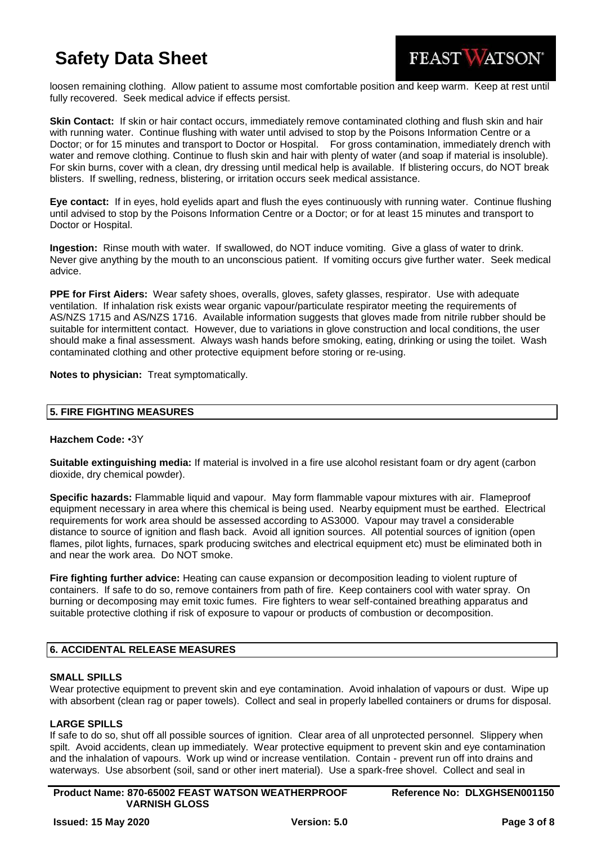

loosen remaining clothing. Allow patient to assume most comfortable position and keep warm. Keep at rest until fully recovered. Seek medical advice if effects persist.

**Skin Contact:** If skin or hair contact occurs, immediately remove contaminated clothing and flush skin and hair with running water. Continue flushing with water until advised to stop by the Poisons Information Centre or a Doctor; or for 15 minutes and transport to Doctor or Hospital. For gross contamination, immediately drench with water and remove clothing. Continue to flush skin and hair with plenty of water (and soap if material is insoluble). For skin burns, cover with a clean, dry dressing until medical help is available. If blistering occurs, do NOT break blisters. If swelling, redness, blistering, or irritation occurs seek medical assistance.

**Eye contact:** If in eyes, hold eyelids apart and flush the eyes continuously with running water. Continue flushing until advised to stop by the Poisons Information Centre or a Doctor; or for at least 15 minutes and transport to Doctor or Hospital.

**Ingestion:** Rinse mouth with water. If swallowed, do NOT induce vomiting. Give a glass of water to drink. Never give anything by the mouth to an unconscious patient. If vomiting occurs give further water. Seek medical advice.

**PPE for First Aiders:** Wear safety shoes, overalls, gloves, safety glasses, respirator. Use with adequate ventilation. If inhalation risk exists wear organic vapour/particulate respirator meeting the requirements of AS/NZS 1715 and AS/NZS 1716. Available information suggests that gloves made from nitrile rubber should be suitable for intermittent contact. However, due to variations in glove construction and local conditions, the user should make a final assessment. Always wash hands before smoking, eating, drinking or using the toilet. Wash contaminated clothing and other protective equipment before storing or re-using.

**Notes to physician:** Treat symptomatically.

## **5. FIRE FIGHTING MEASURES**

#### **Hazchem Code:** •3Y

**Suitable extinguishing media:** If material is involved in a fire use alcohol resistant foam or dry agent (carbon dioxide, dry chemical powder).

**Specific hazards:** Flammable liquid and vapour. May form flammable vapour mixtures with air. Flameproof equipment necessary in area where this chemical is being used. Nearby equipment must be earthed. Electrical requirements for work area should be assessed according to AS3000. Vapour may travel a considerable distance to source of ignition and flash back. Avoid all ignition sources. All potential sources of ignition (open flames, pilot lights, furnaces, spark producing switches and electrical equipment etc) must be eliminated both in and near the work area. Do NOT smoke.

**Fire fighting further advice:** Heating can cause expansion or decomposition leading to violent rupture of containers. If safe to do so, remove containers from path of fire. Keep containers cool with water spray. On burning or decomposing may emit toxic fumes. Fire fighters to wear self-contained breathing apparatus and suitable protective clothing if risk of exposure to vapour or products of combustion or decomposition.

## **6. ACCIDENTAL RELEASE MEASURES**

#### **SMALL SPILLS**

Wear protective equipment to prevent skin and eye contamination. Avoid inhalation of vapours or dust. Wipe up with absorbent (clean rag or paper towels). Collect and seal in properly labelled containers or drums for disposal.

#### **LARGE SPILLS**

If safe to do so, shut off all possible sources of ignition. Clear area of all unprotected personnel. Slippery when spilt. Avoid accidents, clean up immediately. Wear protective equipment to prevent skin and eye contamination and the inhalation of vapours. Work up wind or increase ventilation. Contain - prevent run off into drains and waterways. Use absorbent (soil, sand or other inert material). Use a spark-free shovel. Collect and seal in

**Product Name: 870-65002 FEAST WATSON WEATHERPROOF VARNISH GLOSS**

**Reference No: DLXGHSEN001150**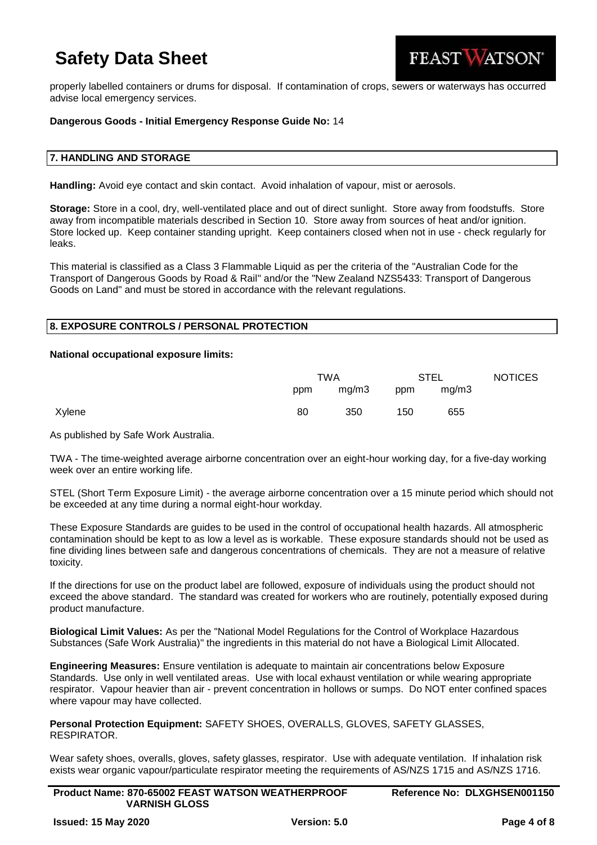

properly labelled containers or drums for disposal. If contamination of crops, sewers or waterways has occurred advise local emergency services.

### **Dangerous Goods - Initial Emergency Response Guide No:** 14

#### **7. HANDLING AND STORAGE**

**Handling:** Avoid eye contact and skin contact. Avoid inhalation of vapour, mist or aerosols.

**Storage:** Store in a cool, dry, well-ventilated place and out of direct sunlight. Store away from foodstuffs. Store away from incompatible materials described in Section 10. Store away from sources of heat and/or ignition. Store locked up. Keep container standing upright. Keep containers closed when not in use - check regularly for leaks.

This material is classified as a Class 3 Flammable Liquid as per the criteria of the "Australian Code for the Transport of Dangerous Goods by Road & Rail" and/or the "New Zealand NZS5433: Transport of Dangerous Goods on Land" and must be stored in accordance with the relevant regulations.

#### **8. EXPOSURE CONTROLS / PERSONAL PROTECTION**

#### **National occupational exposure limits:**

|        |     | TWA   |     | <b>STEL</b> | <b>NOTICES</b> |
|--------|-----|-------|-----|-------------|----------------|
|        | ppm | mg/m3 | ppm | mg/m3       |                |
| Xylene | 80  | 350   | 150 | 655         |                |

As published by Safe Work Australia.

TWA - The time-weighted average airborne concentration over an eight-hour working day, for a five-day working week over an entire working life.

STEL (Short Term Exposure Limit) - the average airborne concentration over a 15 minute period which should not be exceeded at any time during a normal eight-hour workday.

These Exposure Standards are guides to be used in the control of occupational health hazards. All atmospheric contamination should be kept to as low a level as is workable. These exposure standards should not be used as fine dividing lines between safe and dangerous concentrations of chemicals. They are not a measure of relative toxicity.

If the directions for use on the product label are followed, exposure of individuals using the product should not exceed the above standard. The standard was created for workers who are routinely, potentially exposed during product manufacture.

**Biological Limit Values:** As per the "National Model Regulations for the Control of Workplace Hazardous Substances (Safe Work Australia)" the ingredients in this material do not have a Biological Limit Allocated.

**Engineering Measures:** Ensure ventilation is adequate to maintain air concentrations below Exposure Standards. Use only in well ventilated areas. Use with local exhaust ventilation or while wearing appropriate respirator. Vapour heavier than air - prevent concentration in hollows or sumps. Do NOT enter confined spaces where vapour may have collected.

**Personal Protection Equipment:** SAFETY SHOES, OVERALLS, GLOVES, SAFETY GLASSES, RESPIRATOR.

Wear safety shoes, overalls, gloves, safety glasses, respirator. Use with adequate ventilation. If inhalation risk exists wear organic vapour/particulate respirator meeting the requirements of AS/NZS 1715 and AS/NZS 1716.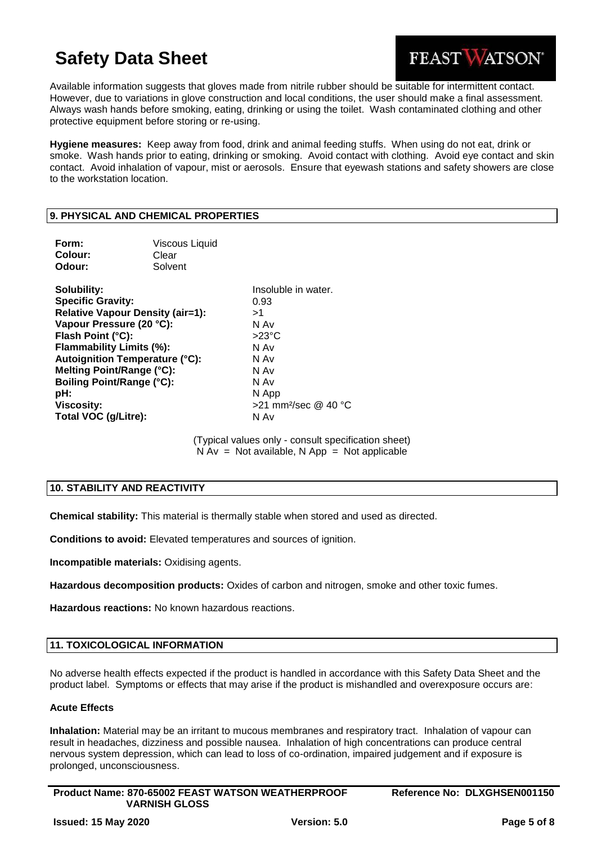

Available information suggests that gloves made from nitrile rubber should be suitable for intermittent contact. However, due to variations in glove construction and local conditions, the user should make a final assessment. Always wash hands before smoking, eating, drinking or using the toilet. Wash contaminated clothing and other protective equipment before storing or re-using.

**Hygiene measures:** Keep away from food, drink and animal feeding stuffs. When using do not eat, drink or smoke. Wash hands prior to eating, drinking or smoking. Avoid contact with clothing. Avoid eye contact and skin contact. Avoid inhalation of vapour, mist or aerosols. Ensure that eyewash stations and safety showers are close to the workstation location.

## **9. PHYSICAL AND CHEMICAL PROPERTIES**

| Form:<br>Colour:<br>Odour:                                                                                                                                                                                                                                                                                                    | <b>Viscous Liquid</b><br>Clear<br>Solvent |                                                                                                                                                      |
|-------------------------------------------------------------------------------------------------------------------------------------------------------------------------------------------------------------------------------------------------------------------------------------------------------------------------------|-------------------------------------------|------------------------------------------------------------------------------------------------------------------------------------------------------|
| Solubility:<br><b>Specific Gravity:</b><br><b>Relative Vapour Density (air=1):</b><br>Vapour Pressure (20 °C):<br>Flash Point (°C):<br><b>Flammability Limits (%):</b><br><b>Autoignition Temperature (°C):</b><br>Melting Point/Range (°C):<br><b>Boiling Point/Range (°C):</b><br>pH:<br>Viscosity:<br>Total VOC (g/Litre): |                                           | Insoluble in water.<br>0.93<br>>1<br>N Av<br>$>23^{\circ}$ C<br>N Av<br>N Av<br>N Av<br>N Av<br>N App<br>$>$ 21 mm <sup>2</sup> /sec @ 40 °C<br>N Av |

(Typical values only - consult specification sheet)  $N Av = Not available, N App = Not applicable$ 

## **10. STABILITY AND REACTIVITY**

**Chemical stability:** This material is thermally stable when stored and used as directed.

**Conditions to avoid:** Elevated temperatures and sources of ignition.

**Incompatible materials:** Oxidising agents.

**Hazardous decomposition products:** Oxides of carbon and nitrogen, smoke and other toxic fumes.

**Hazardous reactions:** No known hazardous reactions.

#### **11. TOXICOLOGICAL INFORMATION**

No adverse health effects expected if the product is handled in accordance with this Safety Data Sheet and the product label. Symptoms or effects that may arise if the product is mishandled and overexposure occurs are:

## **Acute Effects**

**Inhalation:** Material may be an irritant to mucous membranes and respiratory tract. Inhalation of vapour can result in headaches, dizziness and possible nausea. Inhalation of high concentrations can produce central nervous system depression, which can lead to loss of co-ordination, impaired judgement and if exposure is prolonged, unconsciousness.

| <b>Product Name: 870-65002 FEAST WATSON WEATHERPROOF</b> |  |
|----------------------------------------------------------|--|
| <b>VARNISH GLOSS</b>                                     |  |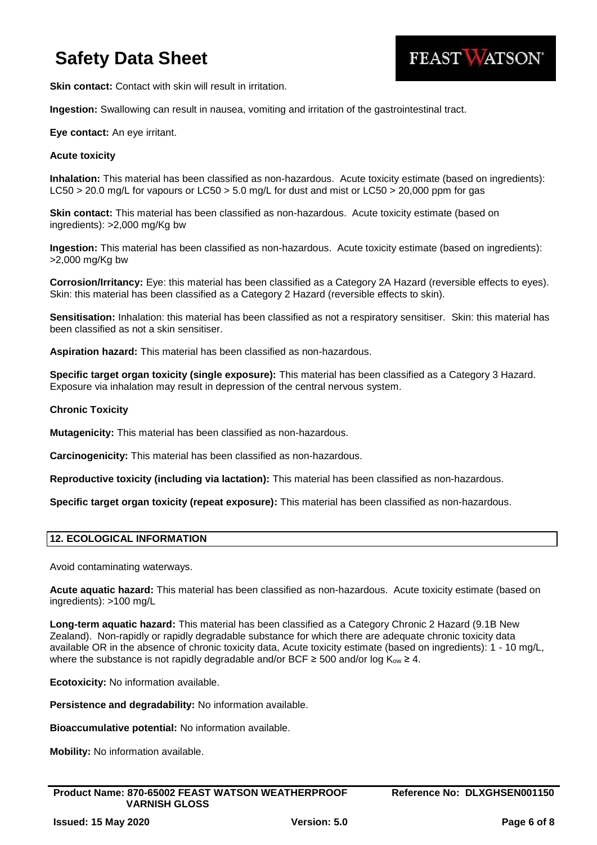

**Skin contact:** Contact with skin will result in irritation.

**Ingestion:** Swallowing can result in nausea, vomiting and irritation of the gastrointestinal tract.

## **Eye contact:** An eye irritant.

### **Acute toxicity**

**Inhalation:** This material has been classified as non-hazardous. Acute toxicity estimate (based on ingredients): LC50 > 20.0 mg/L for vapours or LC50 > 5.0 mg/L for dust and mist or LC50 > 20,000 ppm for gas

**Skin contact:** This material has been classified as non-hazardous. Acute toxicity estimate (based on ingredients): >2,000 mg/Kg bw

**Ingestion:** This material has been classified as non-hazardous. Acute toxicity estimate (based on ingredients): >2,000 mg/Kg bw

**Corrosion/Irritancy:** Eye: this material has been classified as a Category 2A Hazard (reversible effects to eyes). Skin: this material has been classified as a Category 2 Hazard (reversible effects to skin).

**Sensitisation:** Inhalation: this material has been classified as not a respiratory sensitiser. Skin: this material has been classified as not a skin sensitiser.

**Aspiration hazard:** This material has been classified as non-hazardous.

**Specific target organ toxicity (single exposure):** This material has been classified as a Category 3 Hazard. Exposure via inhalation may result in depression of the central nervous system.

### **Chronic Toxicity**

**Mutagenicity:** This material has been classified as non-hazardous.

**Carcinogenicity:** This material has been classified as non-hazardous.

**Reproductive toxicity (including via lactation):** This material has been classified as non-hazardous.

**Specific target organ toxicity (repeat exposure):** This material has been classified as non-hazardous.

## **12. ECOLOGICAL INFORMATION**

Avoid contaminating waterways.

**Acute aquatic hazard:** This material has been classified as non-hazardous. Acute toxicity estimate (based on ingredients): >100 mg/L

**Long-term aquatic hazard:** This material has been classified as a Category Chronic 2 Hazard (9.1B New Zealand). Non-rapidly or rapidly degradable substance for which there are adequate chronic toxicity data available OR in the absence of chronic toxicity data, Acute toxicity estimate (based on ingredients): 1 - 10 mg/L, where the substance is not rapidly degradable and/or BCF  $\geq$  500 and/or log K<sub>ow</sub>  $\geq$  4.

**Ecotoxicity:** No information available.

**Persistence and degradability:** No information available.

**Bioaccumulative potential:** No information available.

**Mobility:** No information available.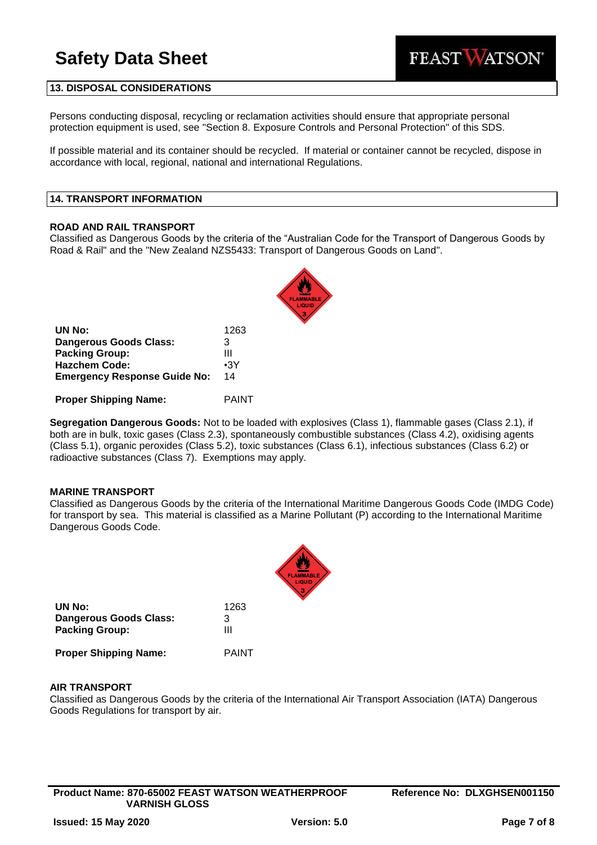

### **13. DISPOSAL CONSIDERATIONS**

Persons conducting disposal, recycling or reclamation activities should ensure that appropriate personal protection equipment is used, see "Section 8. Exposure Controls and Personal Protection" of this SDS.

If possible material and its container should be recycled. If material or container cannot be recycled, dispose in accordance with local, regional, national and international Regulations.

#### **14. TRANSPORT INFORMATION**

#### **ROAD AND RAIL TRANSPORT**

Classified as Dangerous Goods by the criteria of the "Australian Code for the Transport of Dangerous Goods by Road & Rail" and the "New Zealand NZS5433: Transport of Dangerous Goods on Land".

| UN No:                              | 1263       |
|-------------------------------------|------------|
| <b>Dangerous Goods Class:</b>       | 3          |
| <b>Packing Group:</b>               | Ш          |
| <b>Hazchem Code:</b>                | $\cdot$ 3Y |
| <b>Emergency Response Guide No:</b> | 14         |
|                                     |            |

**Proper Shipping Name:** PAINT

**Segregation Dangerous Goods:** Not to be loaded with explosives (Class 1), flammable gases (Class 2.1), if both are in bulk, toxic gases (Class 2.3), spontaneously combustible substances (Class 4.2), oxidising agents (Class 5.1), organic peroxides (Class 5.2), toxic substances (Class 6.1), infectious substances (Class 6.2) or radioactive substances (Class 7). Exemptions may apply.

#### **MARINE TRANSPORT**

Classified as Dangerous Goods by the criteria of the International Maritime Dangerous Goods Code (IMDG Code) for transport by sea. This material is classified as a Marine Pollutant (P) according to the International Maritime Dangerous Goods Code.

| UN No:                       | 1263  |
|------------------------------|-------|
| Dangerous Goods Class:       | 3     |
| <b>Packing Group:</b>        | Ш     |
| <b>Proper Shipping Name:</b> | PAINT |

### **AIR TRANSPORT**

Classified as Dangerous Goods by the criteria of the International Air Transport Association (IATA) Dangerous Goods Regulations for transport by air.

**Product Name: 870-65002 FEAST WATSON WEATHERPROOF VARNISH GLOSS**